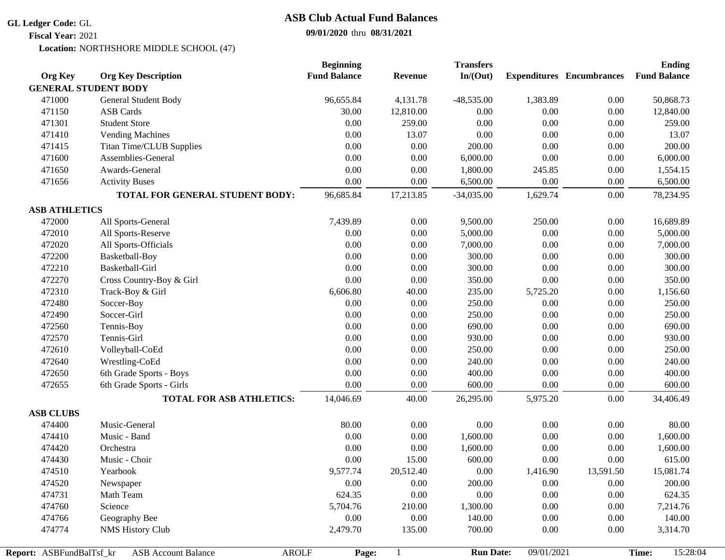## **GL Ledger Code:** GL

**Fiscal Year:** 2021

## **09/01/2020** thru **08/31/2021 ASB Club Actual Fund Balances**

Location: NORTHSHORE MIDDLE SCHOOL (47)

| <b>Org Key</b>           | <b>Org Key Description</b>                 | <b>Beginning</b><br><b>Fund Balance</b> | <b>Revenue</b> | <b>Transfers</b><br>In/(Out) |            | <b>Expenditures</b> Encumbrances | <b>Ending</b><br><b>Fund Balance</b> |
|--------------------------|--------------------------------------------|-----------------------------------------|----------------|------------------------------|------------|----------------------------------|--------------------------------------|
|                          | <b>GENERAL STUDENT BODY</b>                |                                         |                |                              |            |                                  |                                      |
| 471000                   | General Student Body                       | 96,655.84                               | 4,131.78       | $-48,535.00$                 | 1,383.89   | 0.00                             | 50,868.73                            |
| 471150                   | <b>ASB</b> Cards                           | 30.00                                   | 12,810.00      | 0.00                         | 0.00       | 0.00                             | 12,840.00                            |
| 471301                   | <b>Student Store</b>                       | 0.00                                    | 259.00         | 0.00                         | 0.00       | 0.00                             | 259.00                               |
| 471410                   | <b>Vending Machines</b>                    | 0.00                                    | 13.07          | 0.00                         | 0.00       | 0.00                             | 13.07                                |
| 471415                   | <b>Titan Time/CLUB Supplies</b>            | $0.00\,$                                | 0.00           | 200.00                       | 0.00       | 0.00                             | 200.00                               |
| 471600                   | Assemblies-General                         | 0.00                                    | 0.00           | 6,000.00                     | 0.00       | 0.00                             | 6,000.00                             |
| 471650                   | Awards-General                             | 0.00                                    | 0.00           | 1,800.00                     | 245.85     | 0.00                             | 1,554.15                             |
| 471656                   | <b>Activity Buses</b>                      | 0.00                                    | 0.00           | 6,500.00                     | 0.00       | 0.00                             | 6,500.00                             |
|                          | TOTAL FOR GENERAL STUDENT BODY:            | 96,685.84                               | 17,213.85      | $-34,035.00$                 | 1,629.74   | 0.00                             | 78,234.95                            |
|                          |                                            |                                         |                |                              |            |                                  |                                      |
| <b>ASB ATHLETICS</b>     |                                            |                                         |                |                              |            |                                  |                                      |
| 472000                   | All Sports-General                         | 7,439.89                                | 0.00           | 9,500.00                     | 250.00     | 0.00                             | 16,689.89                            |
| 472010                   | All Sports-Reserve                         | 0.00                                    | 0.00           | 5,000.00                     | 0.00       | 0.00                             | 5,000.00                             |
| 472020                   | All Sports-Officials                       | $0.00\,$                                | 0.00           | 7,000.00                     | 0.00       | 0.00                             | 7,000.00                             |
| 472200                   | Basketball-Boy                             | $0.00\,$                                | 0.00           | 300.00                       | 0.00       | 0.00                             | 300.00                               |
| 472210                   | Basketball-Girl                            | 0.00                                    | 0.00           | 300.00                       | 0.00       | 0.00                             | 300.00                               |
| 472270                   | Cross Country-Boy & Girl                   | 0.00                                    | 0.00           | 350.00                       | 0.00       | 0.00                             | 350.00                               |
| 472310                   | Track-Boy & Girl                           | 6,606.80                                | 40.00          | 235.00                       | 5,725.20   | 0.00                             | 1,156.60                             |
| 472480                   | Soccer-Boy                                 | 0.00                                    | 0.00           | 250.00                       | 0.00       | 0.00                             | 250.00                               |
| 472490                   | Soccer-Girl                                | 0.00                                    | 0.00           | 250.00                       | 0.00       | 0.00                             | 250.00                               |
| 472560                   | Tennis-Boy                                 | $0.00\,$                                | 0.00           | 690.00                       | 0.00       | 0.00                             | 690.00                               |
| 472570                   | Tennis-Girl                                | $0.00\,$                                | 0.00           | 930.00                       | 0.00       | 0.00                             | 930.00                               |
| 472610                   | Volleyball-CoEd                            | $0.00\,$                                | 0.00           | 250.00                       | 0.00       | 0.00                             | 250.00                               |
| 472640                   | Wrestling-CoEd                             | 0.00                                    | 0.00           | 240.00                       | 0.00       | 0.00                             | 240.00                               |
| 472650                   | 6th Grade Sports - Boys                    | 0.00                                    | 0.00           | 400.00                       | 0.00       | 0.00                             | 400.00                               |
| 472655                   | 6th Grade Sports - Girls                   | 0.00                                    | 0.00           | 600.00                       | 0.00       | 0.00                             | 600.00                               |
|                          | <b>TOTAL FOR ASB ATHLETICS:</b>            | 14,046.69                               | 40.00          | 26,295.00                    | 5,975.20   | 0.00                             | 34,406.49                            |
| <b>ASB CLUBS</b>         |                                            |                                         |                |                              |            |                                  |                                      |
| 474400                   | Music-General                              | 80.00                                   | 0.00           | 0.00                         | 0.00       | 0.00                             | 80.00                                |
| 474410                   | Music - Band                               | 0.00                                    | 0.00           | 1,600.00                     | 0.00       | 0.00                             | 1,600.00                             |
| 474420                   | Orchestra                                  | 0.00                                    | $0.00\,$       | 1,600.00                     | 0.00       | 0.00                             | 1,600.00                             |
| 474430                   | Music - Choir                              | 0.00                                    | 15.00          | 600.00                       | 0.00       | 0.00                             | 615.00                               |
| 474510                   | Yearbook                                   | 9,577.74                                | 20,512.40      | 0.00                         | 1,416.90   | 13,591.50                        | 15,081.74                            |
| 474520                   | Newspaper                                  | 0.00                                    | 0.00           | 200.00                       | 0.00       | 0.00                             | 200.00                               |
| 474731                   | Math Team                                  | 624.35                                  | $0.00\,$       | $0.00\,$                     | 0.00       | 0.00                             | 624.35                               |
| 474760                   | Science                                    | 5,704.76                                | 210.00         | 1,300.00                     | 0.00       | 0.00                             | 7,214.76                             |
| 474766                   | Geography Bee                              | 0.00                                    | 0.00           | 140.00                       | 0.00       | 0.00                             | 140.00                               |
| 474774                   | <b>NMS History Club</b>                    | 2,479.70                                | 135.00         | 700.00                       | 0.00       | 0.00                             | 3,314.70                             |
|                          |                                            |                                         |                |                              |            |                                  |                                      |
| Report: ASBFundBalTsf_kr | <b>ASB Account Balance</b><br><b>AROLF</b> | Page:                                   |                | <b>Run Date:</b>             | 09/01/2021 |                                  | 15:28:04<br>Time:                    |